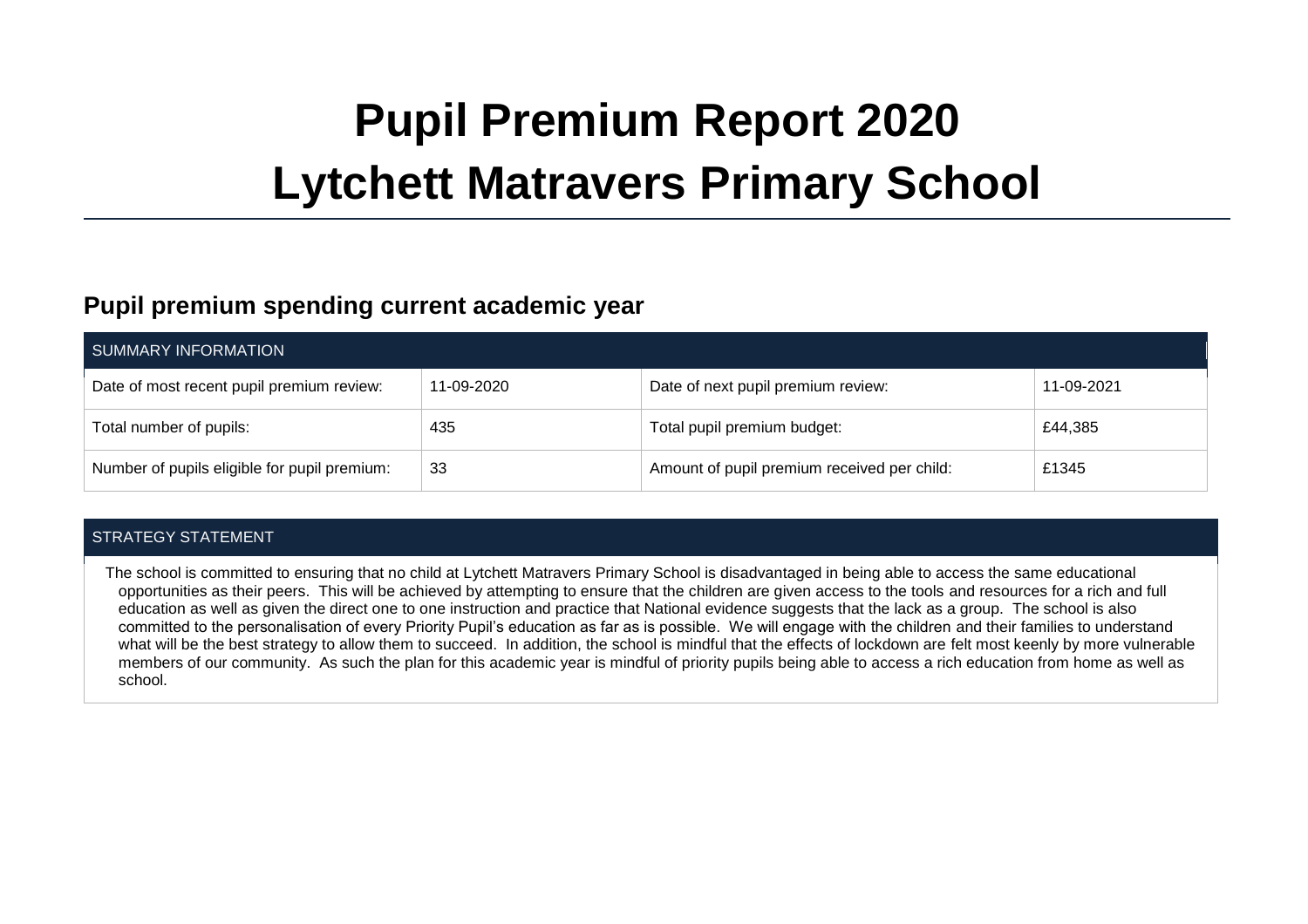# **Pupil Premium Report 2020 Lytchett Matravers Primary School**

### **Pupil premium spending current academic year**

| SUMMARY INFORMATION                          |            |                                             |            |  |  |
|----------------------------------------------|------------|---------------------------------------------|------------|--|--|
| Date of most recent pupil premium review:    | 11-09-2020 | Date of next pupil premium review:          | 11-09-2021 |  |  |
| Total number of pupils:                      | 435        | Total pupil premium budget:                 | £44,385    |  |  |
| Number of pupils eligible for pupil premium: | 33         | Amount of pupil premium received per child: | £1345      |  |  |

#### STRATEGY STATEMENT

The school is committed to ensuring that no child at Lytchett Matravers Primary School is disadvantaged in being able to access the same educational opportunities as their peers. This will be achieved by attempting to ensure that the children are given access to the tools and resources for a rich and full education as well as given the direct one to one instruction and practice that National evidence suggests that the lack as a group. The school is also committed to the personalisation of every Priority Pupil's education as far as is possible. We will engage with the children and their families to understand what will be the best strategy to allow them to succeed. In addition, the school is mindful that the effects of lockdown are felt most keenly by more vulnerable members of our community. As such the plan for this academic year is mindful of priority pupils being able to access a rich education from home as well as school.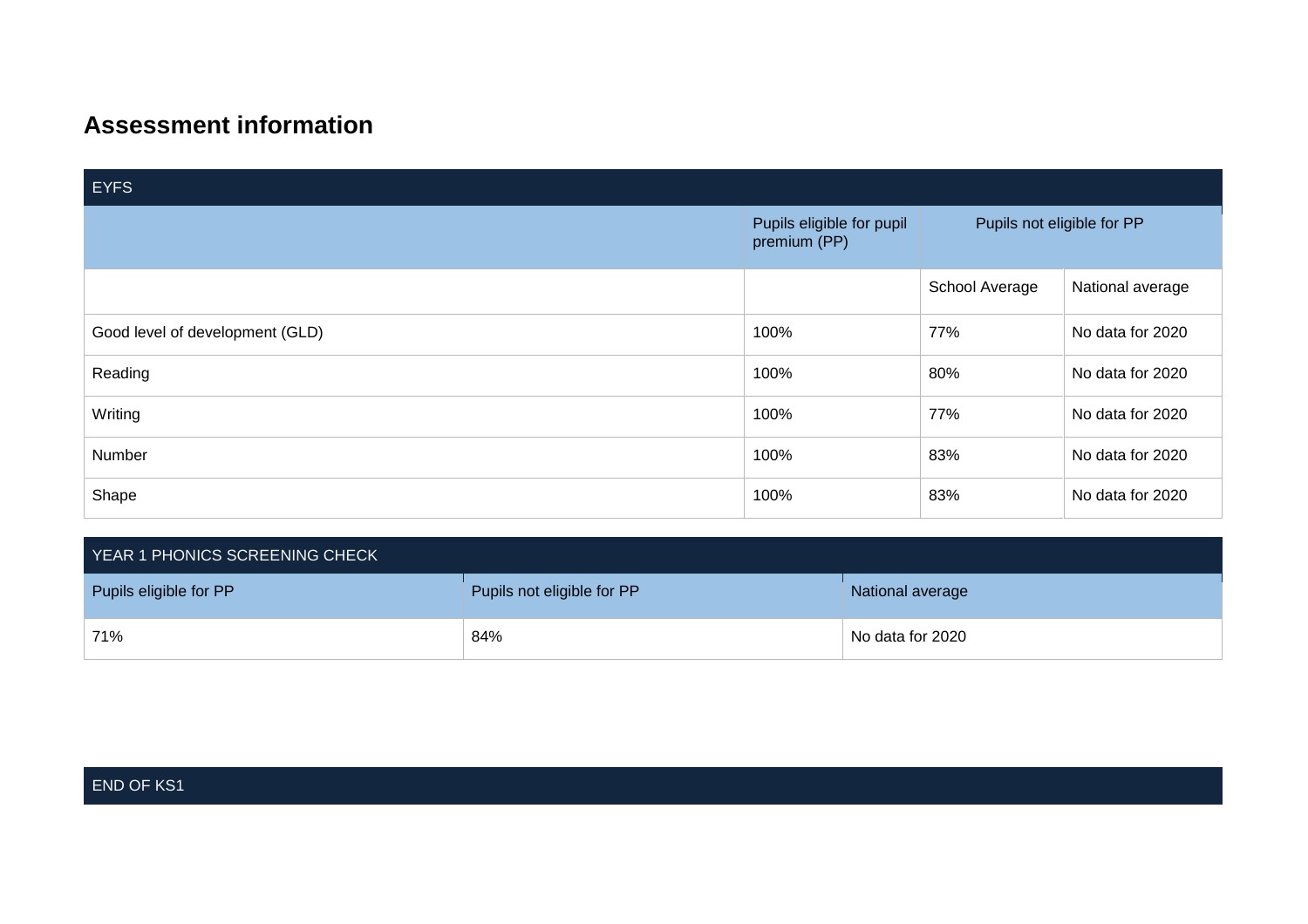## **Assessment information**

| <b>EYFS</b>                     |                                           |                            |                  |  |  |
|---------------------------------|-------------------------------------------|----------------------------|------------------|--|--|
|                                 | Pupils eligible for pupil<br>premium (PP) | Pupils not eligible for PP |                  |  |  |
|                                 |                                           | School Average             | National average |  |  |
| Good level of development (GLD) | 100%                                      | 77%                        | No data for 2020 |  |  |
| Reading                         | 100%                                      | 80%                        | No data for 2020 |  |  |
| Writing                         | 100%                                      | 77%                        | No data for 2020 |  |  |
| Number                          | 100%                                      | 83%                        | No data for 2020 |  |  |
| Shape                           | 100%                                      | 83%                        | No data for 2020 |  |  |

| YEAR 1 PHONICS SCREENING CHECK |                            |                  |  |
|--------------------------------|----------------------------|------------------|--|
| Pupils eligible for PP         | Pupils not eligible for PP | National average |  |
| 71%                            | 84%                        | No data for 2020 |  |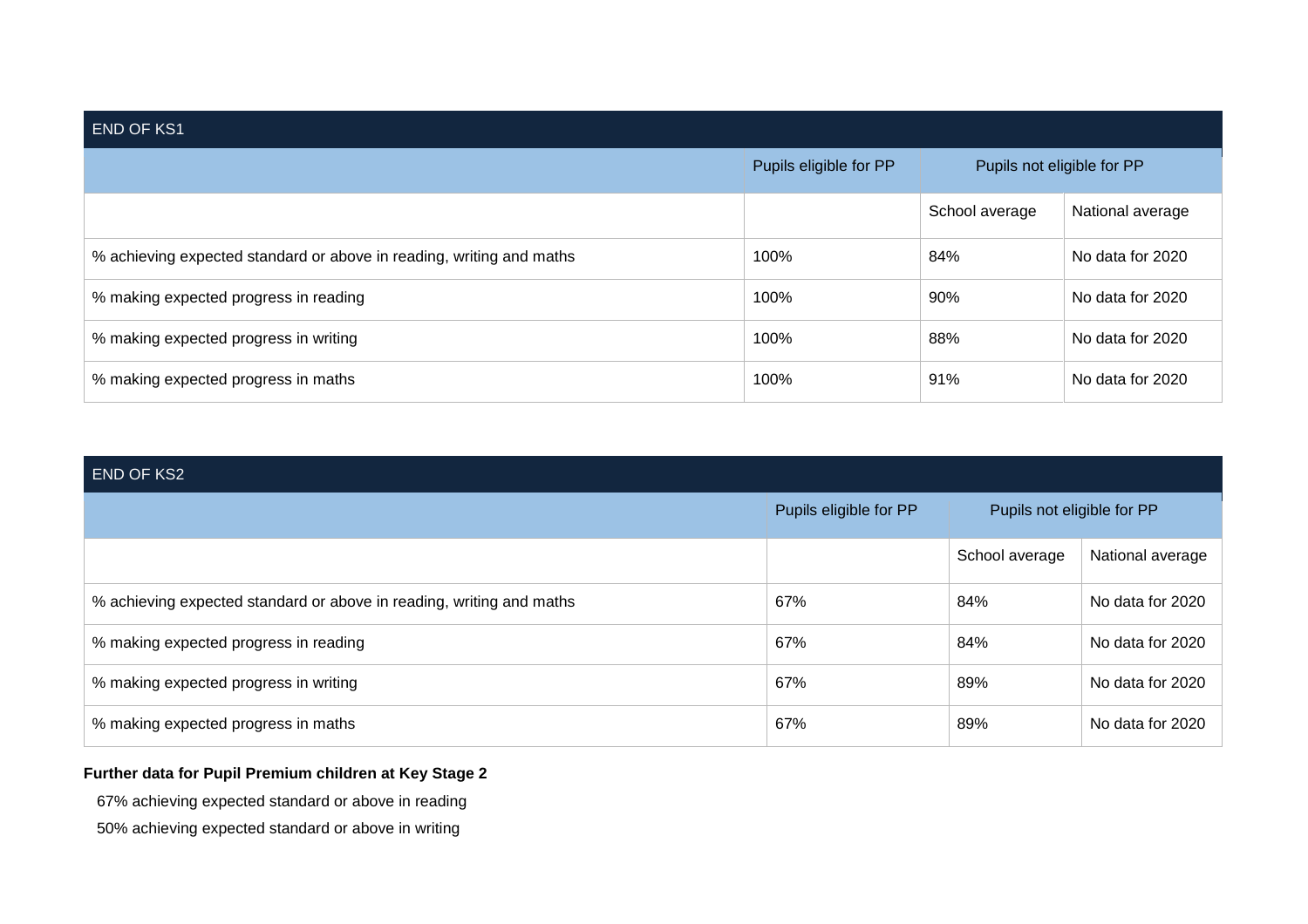| <b>END OF KS1</b>                                                    |                        |                            |                  |  |  |
|----------------------------------------------------------------------|------------------------|----------------------------|------------------|--|--|
|                                                                      | Pupils eligible for PP | Pupils not eligible for PP |                  |  |  |
|                                                                      |                        | School average             | National average |  |  |
| % achieving expected standard or above in reading, writing and maths | 100%                   | 84%                        | No data for 2020 |  |  |
| % making expected progress in reading                                | 100%                   | 90%                        | No data for 2020 |  |  |
| % making expected progress in writing                                | 100%                   | 88%                        | No data for 2020 |  |  |
| % making expected progress in maths                                  | 100%                   | 91%                        | No data for 2020 |  |  |

| <b>END OF KS2</b>                                                    |                        |                            |                  |  |  |
|----------------------------------------------------------------------|------------------------|----------------------------|------------------|--|--|
|                                                                      | Pupils eligible for PP | Pupils not eligible for PP |                  |  |  |
|                                                                      |                        | School average             | National average |  |  |
| % achieving expected standard or above in reading, writing and maths | 67%                    | 84%                        | No data for 2020 |  |  |
| % making expected progress in reading                                | 67%                    | 84%                        | No data for 2020 |  |  |
| % making expected progress in writing                                | 67%                    | 89%                        | No data for 2020 |  |  |
| % making expected progress in maths                                  | 67%                    | 89%                        | No data for 2020 |  |  |

#### **Further data for Pupil Premium children at Key Stage 2**

67% achieving expected standard or above in reading

50% achieving expected standard or above in writing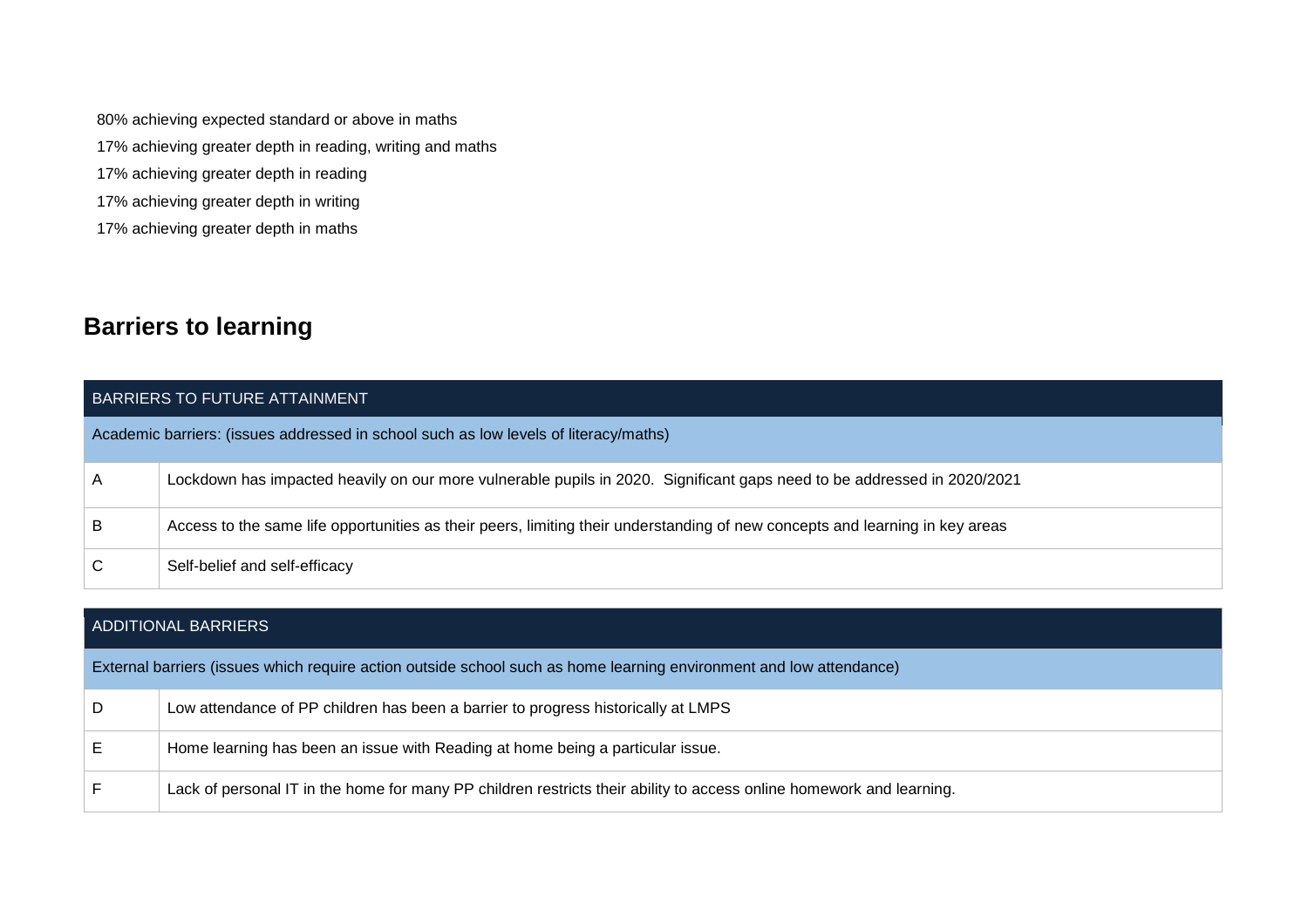80% achieving expected standard or above in maths

- 17% achieving greater depth in reading, writing and maths
- 17% achieving greater depth in reading
- 17% achieving greater depth in writing
- 17% achieving greater depth in maths

## **Barriers to learning**

|   | BARRIERS TO FUTURE ATTAINMENT                                                                                                |
|---|------------------------------------------------------------------------------------------------------------------------------|
|   | Academic barriers: (issues addressed in school such as low levels of literacy/maths)                                         |
| A | Lockdown has impacted heavily on our more vulnerable pupils in 2020. Significant gaps need to be addressed in 2020/2021      |
| B | Access to the same life opportunities as their peers, limiting their understanding of new concepts and learning in key areas |
| C | Self-belief and self-efficacy                                                                                                |

|   | ADDITIONAL BARRIERS                                                                                                  |
|---|----------------------------------------------------------------------------------------------------------------------|
|   | External barriers (issues which require action outside school such as home learning environment and low attendance)  |
| D | Low attendance of PP children has been a barrier to progress historically at LMPS                                    |
|   | Home learning has been an issue with Reading at home being a particular issue.                                       |
|   | Lack of personal IT in the home for many PP children restricts their ability to access online homework and learning. |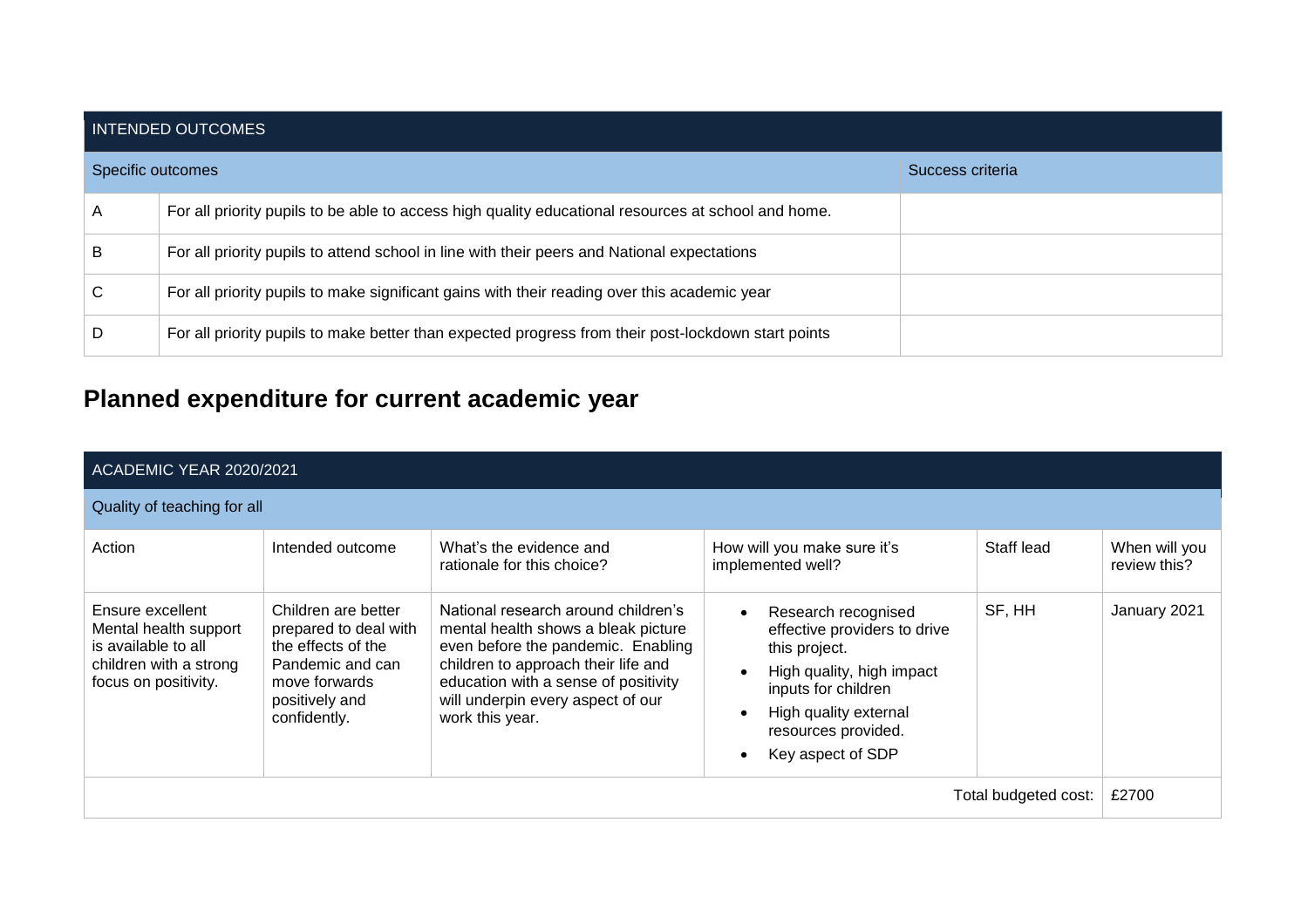| INTENDED OUTCOMES |                                                                                                     |                  |  |  |  |
|-------------------|-----------------------------------------------------------------------------------------------------|------------------|--|--|--|
| Specific outcomes |                                                                                                     | Success criteria |  |  |  |
| A                 | For all priority pupils to be able to access high quality educational resources at school and home. |                  |  |  |  |
| B                 | For all priority pupils to attend school in line with their peers and National expectations         |                  |  |  |  |
| C                 | For all priority pupils to make significant gains with their reading over this academic year        |                  |  |  |  |
| D                 | For all priority pupils to make better than expected progress from their post-lockdown start points |                  |  |  |  |

# **Planned expenditure for current academic year**

|                                                                                                                    | ACADEMIC YEAR 2020/2021                                                                                                                   |                                                                                                                                                                                                                                                         |                                                                                                                                                                                                                                      |                      |                               |  |
|--------------------------------------------------------------------------------------------------------------------|-------------------------------------------------------------------------------------------------------------------------------------------|---------------------------------------------------------------------------------------------------------------------------------------------------------------------------------------------------------------------------------------------------------|--------------------------------------------------------------------------------------------------------------------------------------------------------------------------------------------------------------------------------------|----------------------|-------------------------------|--|
| Quality of teaching for all                                                                                        |                                                                                                                                           |                                                                                                                                                                                                                                                         |                                                                                                                                                                                                                                      |                      |                               |  |
| Action                                                                                                             | Intended outcome                                                                                                                          | What's the evidence and<br>rationale for this choice?                                                                                                                                                                                                   | How will you make sure it's<br>implemented well?                                                                                                                                                                                     | Staff lead           | When will you<br>review this? |  |
| Ensure excellent<br>Mental health support<br>is available to all<br>children with a strong<br>focus on positivity. | Children are better<br>prepared to deal with<br>the effects of the<br>Pandemic and can<br>move forwards<br>positively and<br>confidently. | National research around children's<br>mental health shows a bleak picture<br>even before the pandemic. Enabling<br>children to approach their life and<br>education with a sense of positivity<br>will underpin every aspect of our<br>work this year. | Research recognised<br>$\bullet$<br>effective providers to drive<br>this project.<br>High quality, high impact<br>$\bullet$<br>inputs for children<br>High quality external<br>$\bullet$<br>resources provided.<br>Key aspect of SDP | SF, HH               | January 2021                  |  |
|                                                                                                                    |                                                                                                                                           |                                                                                                                                                                                                                                                         |                                                                                                                                                                                                                                      | Total budgeted cost: | £2700                         |  |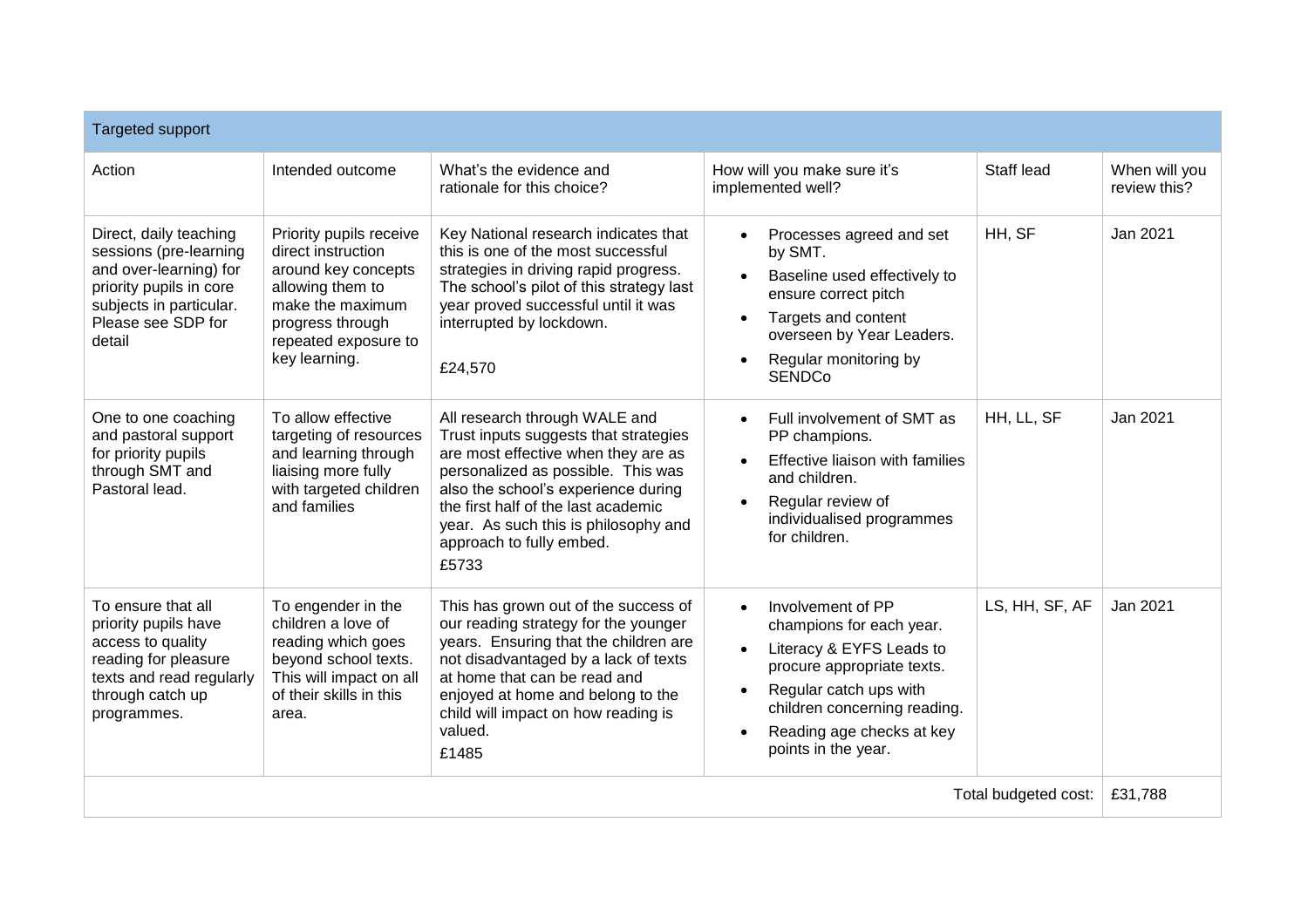| <b>Targeted support</b>                                                                                                                                          |                                                                                                                                                                           |                                                                                                                                                                                                                                                                                                                |                                                                                                                                                                                                                                    |                      |                               |
|------------------------------------------------------------------------------------------------------------------------------------------------------------------|---------------------------------------------------------------------------------------------------------------------------------------------------------------------------|----------------------------------------------------------------------------------------------------------------------------------------------------------------------------------------------------------------------------------------------------------------------------------------------------------------|------------------------------------------------------------------------------------------------------------------------------------------------------------------------------------------------------------------------------------|----------------------|-------------------------------|
| Action                                                                                                                                                           | Intended outcome                                                                                                                                                          | What's the evidence and<br>rationale for this choice?                                                                                                                                                                                                                                                          | How will you make sure it's<br>implemented well?                                                                                                                                                                                   | Staff lead           | When will you<br>review this? |
| Direct, daily teaching<br>sessions (pre-learning<br>and over-learning) for<br>priority pupils in core<br>subjects in particular.<br>Please see SDP for<br>detail | Priority pupils receive<br>direct instruction<br>around key concepts<br>allowing them to<br>make the maximum<br>progress through<br>repeated exposure to<br>key learning. | Key National research indicates that<br>this is one of the most successful<br>strategies in driving rapid progress.<br>The school's pilot of this strategy last<br>year proved successful until it was<br>interrupted by lockdown.<br>£24,570                                                                  | Processes agreed and set<br>$\bullet$<br>by SMT.<br>Baseline used effectively to<br>ensure correct pitch<br>Targets and content<br>overseen by Year Leaders.<br>Regular monitoring by<br><b>SENDCo</b>                             | HH, SF               | Jan 2021                      |
| One to one coaching<br>and pastoral support<br>for priority pupils<br>through SMT and<br>Pastoral lead.                                                          | To allow effective<br>targeting of resources<br>and learning through<br>liaising more fully<br>with targeted children<br>and families                                     | All research through WALE and<br>Trust inputs suggests that strategies<br>are most effective when they are as<br>personalized as possible. This was<br>also the school's experience during<br>the first half of the last academic<br>year. As such this is philosophy and<br>approach to fully embed.<br>£5733 | Full involvement of SMT as<br>PP champions.<br>Effective liaison with families<br>and children.<br>Regular review of<br>individualised programmes<br>for children.                                                                 | HH, LL, SF           | Jan 2021                      |
| To ensure that all<br>priority pupils have<br>access to quality<br>reading for pleasure<br>texts and read regularly<br>through catch up<br>programmes.           | To engender in the<br>children a love of<br>reading which goes<br>beyond school texts.<br>This will impact on all<br>of their skills in this<br>area.                     | This has grown out of the success of<br>our reading strategy for the younger<br>years. Ensuring that the children are<br>not disadvantaged by a lack of texts<br>at home that can be read and<br>enjoyed at home and belong to the<br>child will impact on how reading is<br>valued.<br>£1485                  | Involvement of PP<br>$\bullet$<br>champions for each year.<br>Literacy & EYFS Leads to<br>procure appropriate texts.<br>Regular catch ups with<br>children concerning reading.<br>Reading age checks at key<br>points in the year. | LS, HH, SF, AF       | Jan 2021                      |
|                                                                                                                                                                  |                                                                                                                                                                           |                                                                                                                                                                                                                                                                                                                |                                                                                                                                                                                                                                    | Total budgeted cost: | £31,788                       |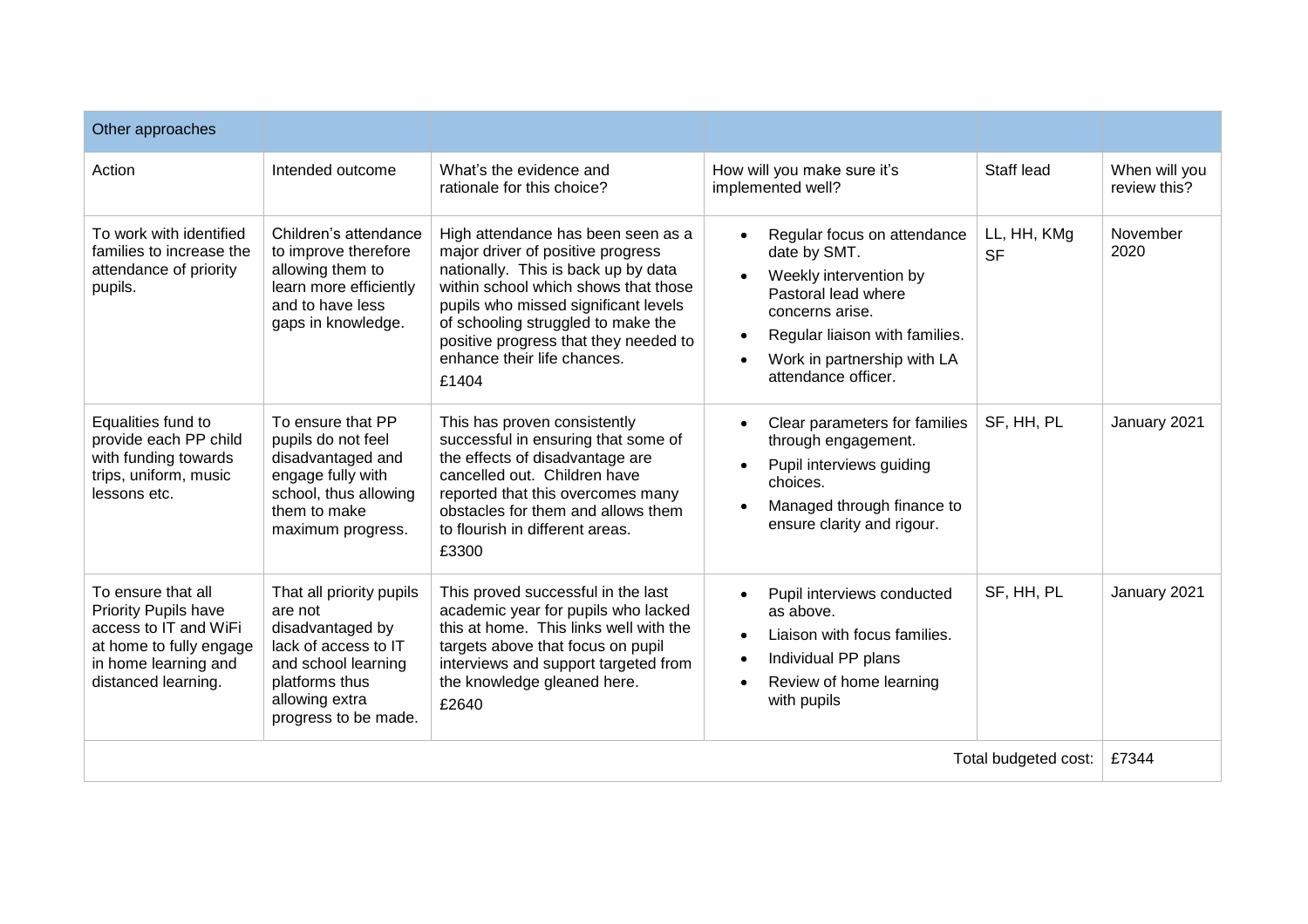| Other approaches                                                                                                                              |                                                                                                                                                                    |                                                                                                                                                                                                                                                                                                                       |                                                                                                                                                                                                                                   |                          |                               |
|-----------------------------------------------------------------------------------------------------------------------------------------------|--------------------------------------------------------------------------------------------------------------------------------------------------------------------|-----------------------------------------------------------------------------------------------------------------------------------------------------------------------------------------------------------------------------------------------------------------------------------------------------------------------|-----------------------------------------------------------------------------------------------------------------------------------------------------------------------------------------------------------------------------------|--------------------------|-------------------------------|
| Action                                                                                                                                        | Intended outcome                                                                                                                                                   | What's the evidence and<br>rationale for this choice?                                                                                                                                                                                                                                                                 | How will you make sure it's<br>implemented well?                                                                                                                                                                                  | Staff lead               | When will you<br>review this? |
| To work with identified<br>families to increase the<br>attendance of priority<br>pupils.                                                      | Children's attendance<br>to improve therefore<br>allowing them to<br>learn more efficiently<br>and to have less<br>gaps in knowledge.                              | High attendance has been seen as a<br>major driver of positive progress<br>nationally. This is back up by data<br>within school which shows that those<br>pupils who missed significant levels<br>of schooling struggled to make the<br>positive progress that they needed to<br>enhance their life chances.<br>£1404 | Regular focus on attendance<br>date by SMT.<br>Weekly intervention by<br>$\bullet$<br>Pastoral lead where<br>concerns arise.<br>Regular liaison with families.<br>$\bullet$<br>Work in partnership with LA<br>attendance officer. | LL, HH, KMg<br><b>SF</b> | November<br>2020              |
| Equalities fund to<br>provide each PP child<br>with funding towards<br>trips, uniform, music<br>lessons etc.                                  | To ensure that PP<br>pupils do not feel<br>disadvantaged and<br>engage fully with<br>school, thus allowing<br>them to make<br>maximum progress.                    | This has proven consistently<br>successful in ensuring that some of<br>the effects of disadvantage are<br>cancelled out. Children have<br>reported that this overcomes many<br>obstacles for them and allows them<br>to flourish in different areas.<br>£3300                                                         | Clear parameters for families<br>through engagement.<br>Pupil interviews guiding<br>$\bullet$<br>choices.<br>Managed through finance to<br>ensure clarity and rigour.                                                             | SF, HH, PL               | January 2021                  |
| To ensure that all<br>Priority Pupils have<br>access to IT and WiFi<br>at home to fully engage<br>in home learning and<br>distanced learning. | That all priority pupils<br>are not<br>disadvantaged by<br>lack of access to IT<br>and school learning<br>platforms thus<br>allowing extra<br>progress to be made. | This proved successful in the last<br>academic year for pupils who lacked<br>this at home. This links well with the<br>targets above that focus on pupil<br>interviews and support targeted from<br>the knowledge gleaned here.<br>£2640                                                                              | Pupil interviews conducted<br>as above.<br>Liaison with focus families.<br>$\bullet$<br>Individual PP plans<br>$\bullet$<br>Review of home learning<br>with pupils                                                                | SF, HH, PL               | January 2021                  |
|                                                                                                                                               |                                                                                                                                                                    |                                                                                                                                                                                                                                                                                                                       |                                                                                                                                                                                                                                   | Total budgeted cost:     | £7344                         |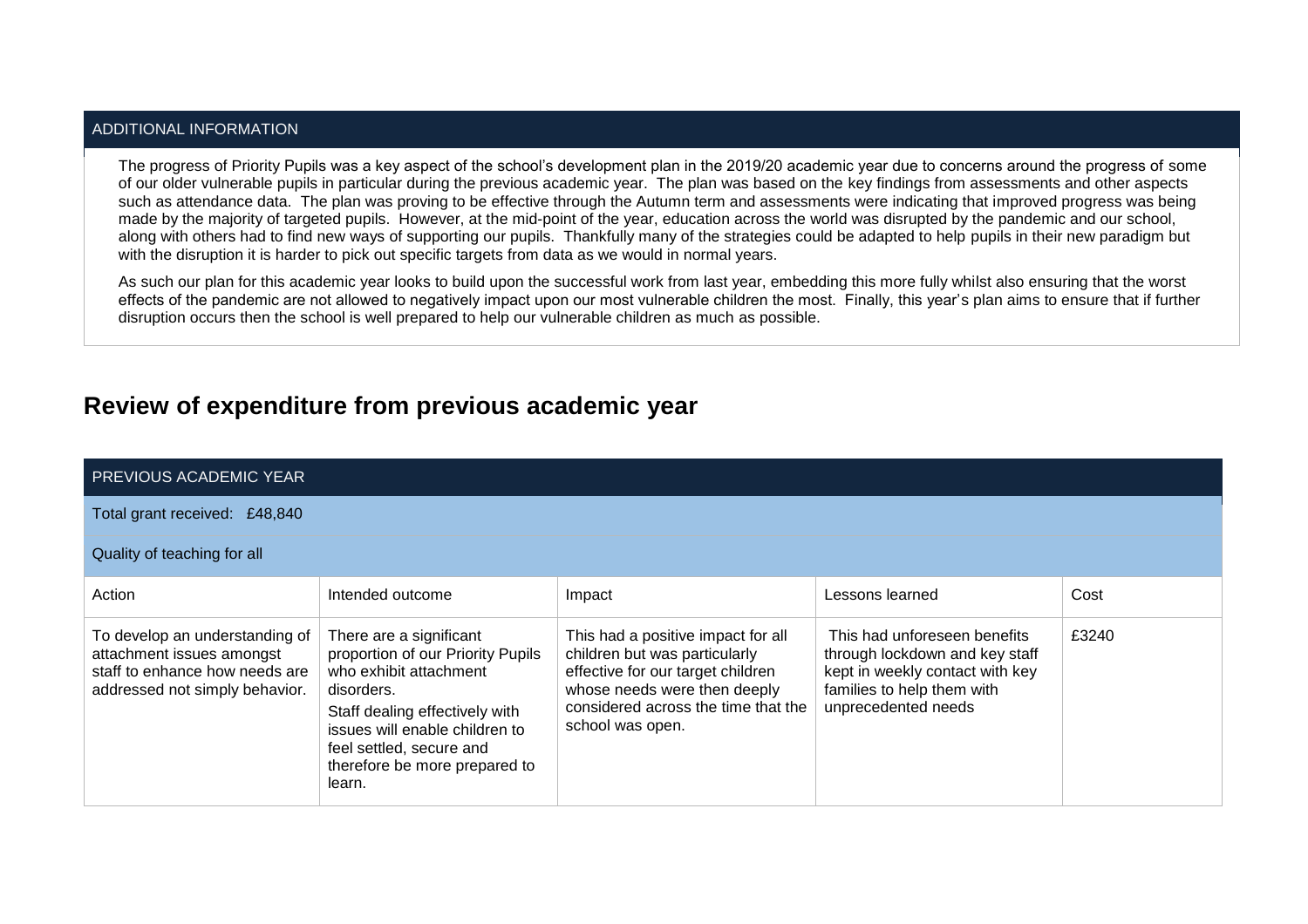#### ADDITIONAL INFORMATION

The progress of Priority Pupils was a key aspect of the school's development plan in the 2019/20 academic year due to concerns around the progress of some of our older vulnerable pupils in particular during the previous academic year. The plan was based on the key findings from assessments and other aspects such as attendance data. The plan was proving to be effective through the Autumn term and assessments were indicating that improved progress was being made by the majority of targeted pupils. However, at the mid-point of the year, education across the world was disrupted by the pandemic and our school, along with others had to find new ways of supporting our pupils. Thankfully many of the strategies could be adapted to help pupils in their new paradigm but with the disruption it is harder to pick out specific targets from data as we would in normal years.

As such our plan for this academic year looks to build upon the successful work from last year, embedding this more fully whilst also ensuring that the worst effects of the pandemic are not allowed to negatively impact upon our most vulnerable children the most. Finally, this year's plan aims to ensure that if further disruption occurs then the school is well prepared to help our vulnerable children as much as possible.

## **Review of expenditure from previous academic year**

| PREVIOUS ACADEMIC YEAR                                                                                                          |                                                                                                                                                                                                                                                 |                                                                                                                                                                                                     |                                                                                                                                                        |       |
|---------------------------------------------------------------------------------------------------------------------------------|-------------------------------------------------------------------------------------------------------------------------------------------------------------------------------------------------------------------------------------------------|-----------------------------------------------------------------------------------------------------------------------------------------------------------------------------------------------------|--------------------------------------------------------------------------------------------------------------------------------------------------------|-------|
| Total grant received: £48,840                                                                                                   |                                                                                                                                                                                                                                                 |                                                                                                                                                                                                     |                                                                                                                                                        |       |
| Quality of teaching for all                                                                                                     |                                                                                                                                                                                                                                                 |                                                                                                                                                                                                     |                                                                                                                                                        |       |
| Action                                                                                                                          | Intended outcome                                                                                                                                                                                                                                | Impact                                                                                                                                                                                              | Lessons learned                                                                                                                                        | Cost  |
| To develop an understanding of<br>attachment issues amongst<br>staff to enhance how needs are<br>addressed not simply behavior. | There are a significant<br>proportion of our Priority Pupils<br>who exhibit attachment<br>disorders.<br>Staff dealing effectively with<br>issues will enable children to<br>feel settled, secure and<br>therefore be more prepared to<br>learn. | This had a positive impact for all<br>children but was particularly<br>effective for our target children<br>whose needs were then deeply<br>considered across the time that the<br>school was open. | This had unforeseen benefits<br>through lockdown and key staff<br>kept in weekly contact with key<br>families to help them with<br>unprecedented needs | £3240 |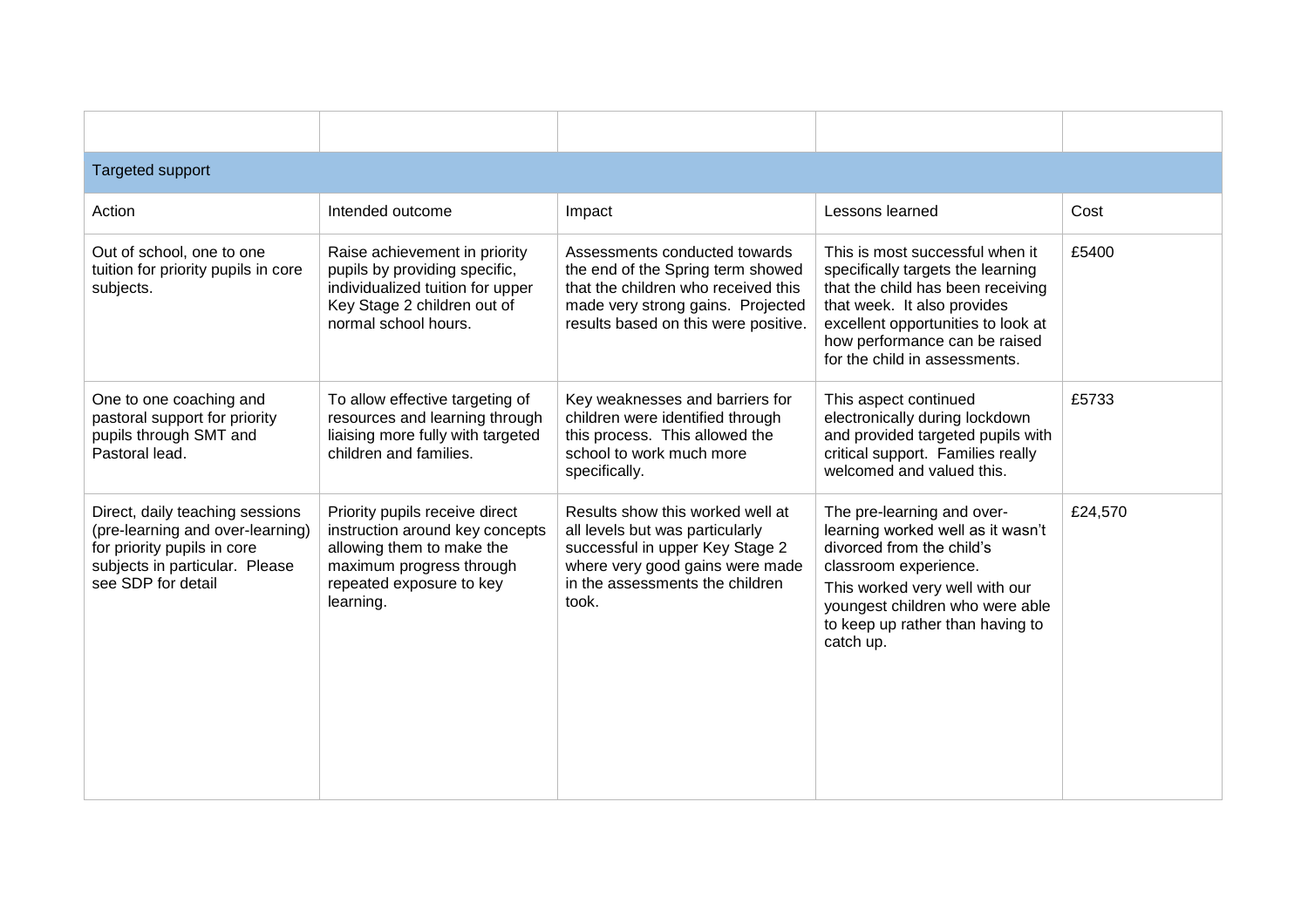| <b>Targeted support</b>                                                                                                                                    |                                                                                                                                                                     |                                                                                                                                                                                        |                                                                                                                                                                                                                                                  |         |  |  |  |
|------------------------------------------------------------------------------------------------------------------------------------------------------------|---------------------------------------------------------------------------------------------------------------------------------------------------------------------|----------------------------------------------------------------------------------------------------------------------------------------------------------------------------------------|--------------------------------------------------------------------------------------------------------------------------------------------------------------------------------------------------------------------------------------------------|---------|--|--|--|
| Action                                                                                                                                                     | Intended outcome                                                                                                                                                    | Impact                                                                                                                                                                                 | Lessons learned                                                                                                                                                                                                                                  | Cost    |  |  |  |
| Out of school, one to one<br>tuition for priority pupils in core<br>subjects.                                                                              | Raise achievement in priority<br>pupils by providing specific,<br>individualized tuition for upper<br>Key Stage 2 children out of<br>normal school hours.           | Assessments conducted towards<br>the end of the Spring term showed<br>that the children who received this<br>made very strong gains. Projected<br>results based on this were positive. | This is most successful when it<br>specifically targets the learning<br>that the child has been receiving<br>that week. It also provides<br>excellent opportunities to look at<br>how performance can be raised<br>for the child in assessments. | £5400   |  |  |  |
| One to one coaching and<br>pastoral support for priority<br>pupils through SMT and<br>Pastoral lead.                                                       | To allow effective targeting of<br>resources and learning through<br>liaising more fully with targeted<br>children and families.                                    | Key weaknesses and barriers for<br>children were identified through<br>this process. This allowed the<br>school to work much more<br>specifically.                                     | This aspect continued<br>electronically during lockdown<br>and provided targeted pupils with<br>critical support. Families really<br>welcomed and valued this.                                                                                   | £5733   |  |  |  |
| Direct, daily teaching sessions<br>(pre-learning and over-learning)<br>for priority pupils in core<br>subjects in particular. Please<br>see SDP for detail | Priority pupils receive direct<br>instruction around key concepts<br>allowing them to make the<br>maximum progress through<br>repeated exposure to key<br>learning. | Results show this worked well at<br>all levels but was particularly<br>successful in upper Key Stage 2<br>where very good gains were made<br>in the assessments the children<br>took.  | The pre-learning and over-<br>learning worked well as it wasn't<br>divorced from the child's<br>classroom experience.<br>This worked very well with our<br>youngest children who were able<br>to keep up rather than having to<br>catch up.      | £24,570 |  |  |  |